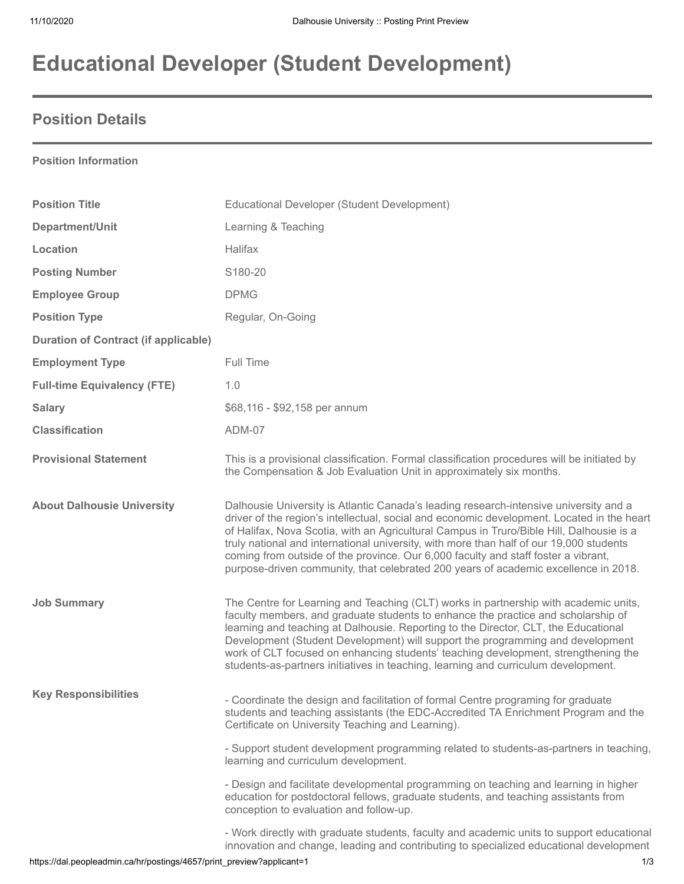# **Educational Developer (Student Development)**

## **Position Details**

#### **Position Information**

| <b>Position Title</b>                       | Educational Developer (Student Development)                                                                                                                                                                                                                                                                                                                                                                                                                                                                                                             |
|---------------------------------------------|---------------------------------------------------------------------------------------------------------------------------------------------------------------------------------------------------------------------------------------------------------------------------------------------------------------------------------------------------------------------------------------------------------------------------------------------------------------------------------------------------------------------------------------------------------|
| Department/Unit                             | Learning & Teaching                                                                                                                                                                                                                                                                                                                                                                                                                                                                                                                                     |
| Location                                    | Halifax                                                                                                                                                                                                                                                                                                                                                                                                                                                                                                                                                 |
| <b>Posting Number</b>                       | S180-20                                                                                                                                                                                                                                                                                                                                                                                                                                                                                                                                                 |
| <b>Employee Group</b>                       | <b>DPMG</b>                                                                                                                                                                                                                                                                                                                                                                                                                                                                                                                                             |
| <b>Position Type</b>                        | Regular, On-Going                                                                                                                                                                                                                                                                                                                                                                                                                                                                                                                                       |
| <b>Duration of Contract (if applicable)</b> |                                                                                                                                                                                                                                                                                                                                                                                                                                                                                                                                                         |
| <b>Employment Type</b>                      | Full Time                                                                                                                                                                                                                                                                                                                                                                                                                                                                                                                                               |
| <b>Full-time Equivalency (FTE)</b>          | 1.0                                                                                                                                                                                                                                                                                                                                                                                                                                                                                                                                                     |
| <b>Salary</b>                               | \$68,116 - \$92,158 per annum                                                                                                                                                                                                                                                                                                                                                                                                                                                                                                                           |
| <b>Classification</b>                       | ADM-07                                                                                                                                                                                                                                                                                                                                                                                                                                                                                                                                                  |
| <b>Provisional Statement</b>                | This is a provisional classification. Formal classification procedures will be initiated by<br>the Compensation & Job Evaluation Unit in approximately six months.                                                                                                                                                                                                                                                                                                                                                                                      |
| <b>About Dalhousie University</b>           | Dalhousie University is Atlantic Canada's leading research-intensive university and a<br>driver of the region's intellectual, social and economic development. Located in the heart<br>of Halifax, Nova Scotia, with an Agricultural Campus in Truro/Bible Hill, Dalhousie is a<br>truly national and international university, with more than half of our 19,000 students<br>coming from outside of the province. Our 6,000 faculty and staff foster a vibrant,<br>purpose-driven community, that celebrated 200 years of academic excellence in 2018. |
| <b>Job Summary</b>                          | The Centre for Learning and Teaching (CLT) works in partnership with academic units,<br>faculty members, and graduate students to enhance the practice and scholarship of<br>learning and teaching at Dalhousie. Reporting to the Director, CLT, the Educational<br>Development (Student Development) will support the programming and development<br>work of CLT focused on enhancing students' teaching development, strengthening the<br>students-as-partners initiatives in teaching, learning and curriculum development.                          |
| <b>Key Responsibilities</b>                 | - Coordinate the design and facilitation of formal Centre programing for graduate<br>students and teaching assistants (the EDC-Accredited TA Enrichment Program and the<br>Certificate on University Teaching and Learning).                                                                                                                                                                                                                                                                                                                            |
|                                             | - Support student development programming related to students-as-partners in teaching,<br>learning and curriculum development.                                                                                                                                                                                                                                                                                                                                                                                                                          |
|                                             | - Design and facilitate developmental programming on teaching and learning in higher<br>education for postdoctoral fellows, graduate students, and teaching assistants from<br>conception to evaluation and follow-up.                                                                                                                                                                                                                                                                                                                                  |
|                                             | - Work directly with graduate students, faculty and academic units to support educational<br>innovation and change, leading and contributing to specialized educational development                                                                                                                                                                                                                                                                                                                                                                     |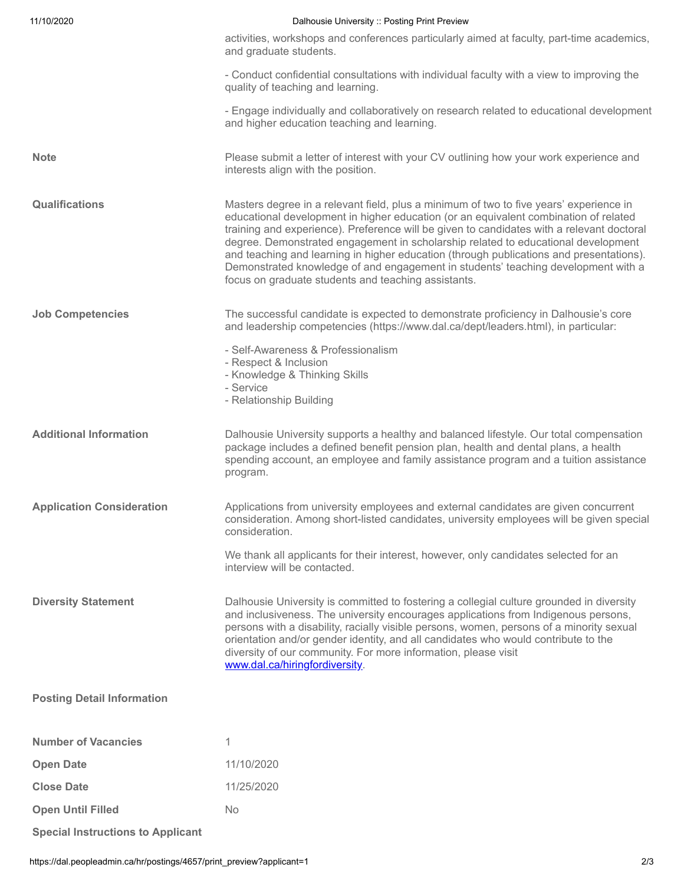| 11/10/2020                        | Dalhousie University :: Posting Print Preview                                                                                                                                                                                                                                                                                                                                                                                                                                                                                                                                                           |
|-----------------------------------|---------------------------------------------------------------------------------------------------------------------------------------------------------------------------------------------------------------------------------------------------------------------------------------------------------------------------------------------------------------------------------------------------------------------------------------------------------------------------------------------------------------------------------------------------------------------------------------------------------|
|                                   | activities, workshops and conferences particularly aimed at faculty, part-time academics,<br>and graduate students.                                                                                                                                                                                                                                                                                                                                                                                                                                                                                     |
|                                   | - Conduct confidential consultations with individual faculty with a view to improving the<br>quality of teaching and learning.                                                                                                                                                                                                                                                                                                                                                                                                                                                                          |
|                                   | - Engage individually and collaboratively on research related to educational development<br>and higher education teaching and learning.                                                                                                                                                                                                                                                                                                                                                                                                                                                                 |
| <b>Note</b>                       | Please submit a letter of interest with your CV outlining how your work experience and<br>interests align with the position.                                                                                                                                                                                                                                                                                                                                                                                                                                                                            |
| <b>Qualifications</b>             | Masters degree in a relevant field, plus a minimum of two to five years' experience in<br>educational development in higher education (or an equivalent combination of related<br>training and experience). Preference will be given to candidates with a relevant doctoral<br>degree. Demonstrated engagement in scholarship related to educational development<br>and teaching and learning in higher education (through publications and presentations).<br>Demonstrated knowledge of and engagement in students' teaching development with a<br>focus on graduate students and teaching assistants. |
| <b>Job Competencies</b>           | The successful candidate is expected to demonstrate proficiency in Dalhousie's core<br>and leadership competencies (https://www.dal.ca/dept/leaders.html), in particular:                                                                                                                                                                                                                                                                                                                                                                                                                               |
|                                   | - Self-Awareness & Professionalism<br>- Respect & Inclusion<br>- Knowledge & Thinking Skills<br>- Service<br>- Relationship Building                                                                                                                                                                                                                                                                                                                                                                                                                                                                    |
| <b>Additional Information</b>     | Dalhousie University supports a healthy and balanced lifestyle. Our total compensation<br>package includes a defined benefit pension plan, health and dental plans, a health<br>spending account, an employee and family assistance program and a tuition assistance<br>program.                                                                                                                                                                                                                                                                                                                        |
| <b>Application Consideration</b>  | Applications from university employees and external candidates are given concurrent<br>consideration. Among short-listed candidates, university employees will be given special<br>consideration.                                                                                                                                                                                                                                                                                                                                                                                                       |
|                                   | We thank all applicants for their interest, however, only candidates selected for an<br>interview will be contacted.                                                                                                                                                                                                                                                                                                                                                                                                                                                                                    |
| <b>Diversity Statement</b>        | Dalhousie University is committed to fostering a collegial culture grounded in diversity<br>and inclusiveness. The university encourages applications from Indigenous persons,<br>persons with a disability, racially visible persons, women, persons of a minority sexual<br>orientation and/or gender identity, and all candidates who would contribute to the<br>diversity of our community. For more information, please visit<br>www.dal.ca/hiringfordiversity.                                                                                                                                    |
| <b>Posting Detail Information</b> |                                                                                                                                                                                                                                                                                                                                                                                                                                                                                                                                                                                                         |
| <b>Number of Vacancies</b>        | 1                                                                                                                                                                                                                                                                                                                                                                                                                                                                                                                                                                                                       |
| <b>Open Date</b>                  | 11/10/2020                                                                                                                                                                                                                                                                                                                                                                                                                                                                                                                                                                                              |
| <b>Close Date</b>                 | 11/25/2020                                                                                                                                                                                                                                                                                                                                                                                                                                                                                                                                                                                              |
| <b>Open Until Filled</b>          | <b>No</b>                                                                                                                                                                                                                                                                                                                                                                                                                                                                                                                                                                                               |

**Special Instructions to Applicant**